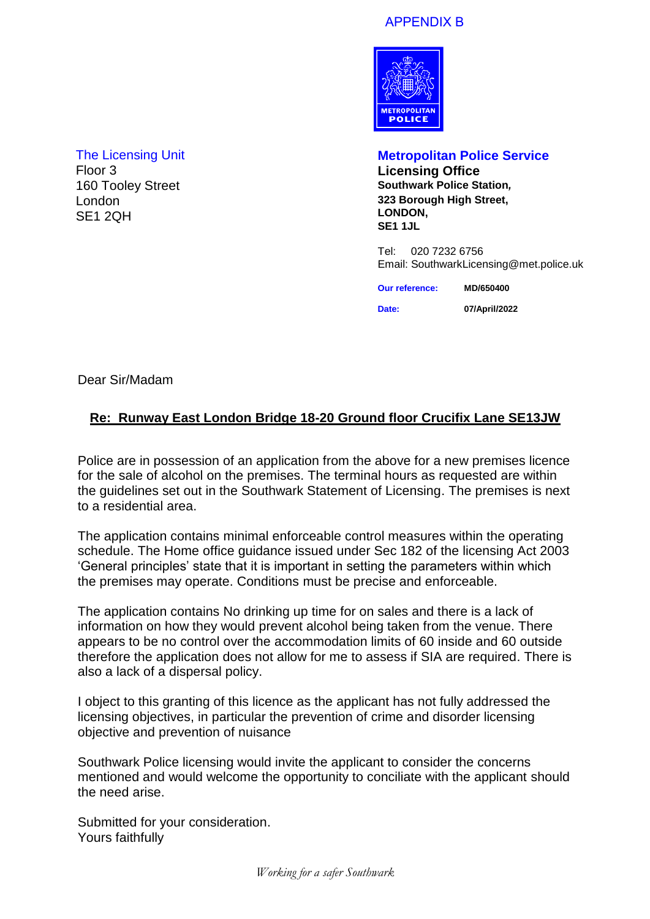#### APPENDIX B



London SE1 2QH

### The Licensing Unit **Metropolitan Police Service**

Floor 3 **Licensing Office** 160 Tooley Street **Southwark Police Station***,* **323 Borough High Street, LONDON, SE1 1JL**

> Tel: 020 7232 6756 Email: SouthwarkLicensing@met.police.uk

| <b>Our reference:</b> | MD/650400     |
|-----------------------|---------------|
| Date:                 | 07/April/2022 |

Dear Sir/Madam

# **Re: Runway East London Bridge 18-20 Ground floor Crucifix Lane SE13JW**

Police are in possession of an application from the above for a new premises licence for the sale of alcohol on the premises. The terminal hours as requested are within the guidelines set out in the Southwark Statement of Licensing. The premises is next to a residential area.

The application contains minimal enforceable control measures within the operating schedule. The Home office guidance issued under Sec 182 of the licensing Act 2003 'General principles' state that it is important in setting the parameters within which the premises may operate. Conditions must be precise and enforceable.

The application contains No drinking up time for on sales and there is a lack of information on how they would prevent alcohol being taken from the venue. There appears to be no control over the accommodation limits of 60 inside and 60 outside therefore the application does not allow for me to assess if SIA are required. There is also a lack of a dispersal policy.

I object to this granting of this licence as the applicant has not fully addressed the licensing objectives, in particular the prevention of crime and disorder licensing objective and prevention of nuisance

Southwark Police licensing would invite the applicant to consider the concerns mentioned and would welcome the opportunity to conciliate with the applicant should the need arise.

Submitted for your consideration. Yours faithfully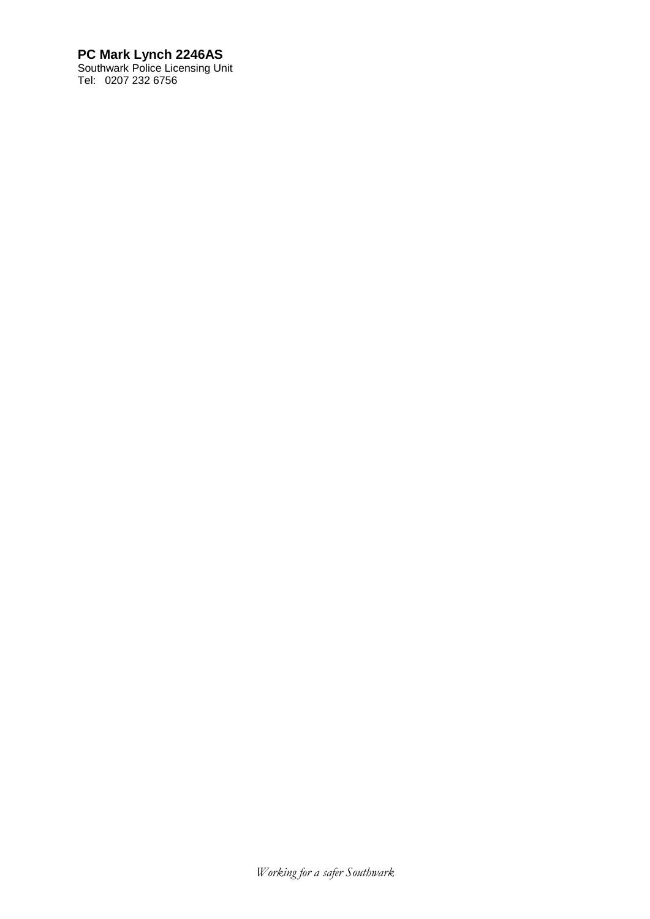## **PC Mark Lynch 2246AS**

Southwark Police Licensing Unit Tel: 0207 232 6756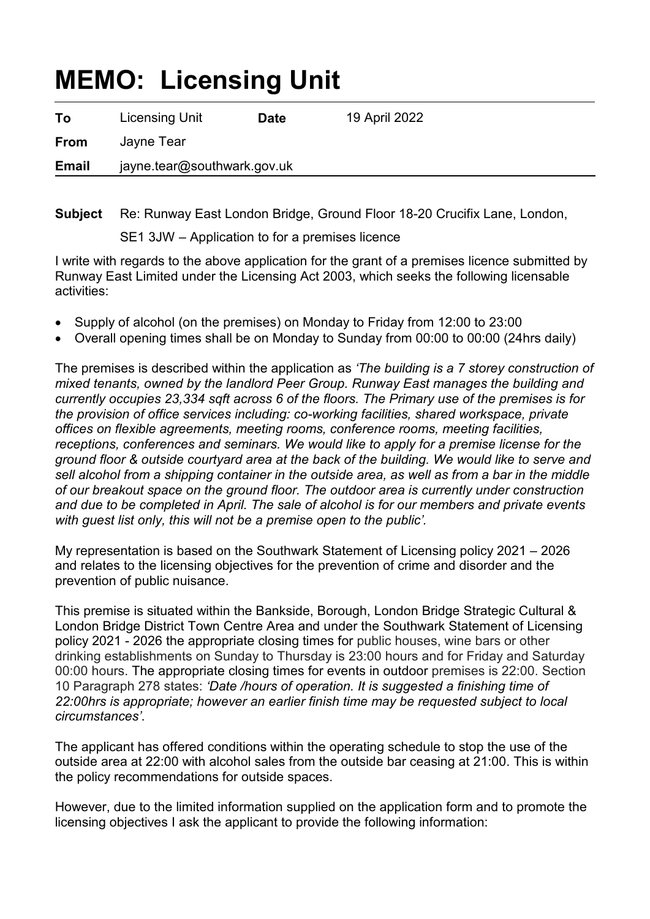# **MEMO: Licensing Unit**

| Email | jayne.tear@southwark.gov.uk |             |               |
|-------|-----------------------------|-------------|---------------|
| From  | Jayne Tear                  |             |               |
| To    | <b>Licensing Unit</b>       | <b>Date</b> | 19 April 2022 |

**Subject** Re: Runway East London Bridge, Ground Floor 18-20 Crucifix Lane, London,

SE1 3JW – Application to for a premises licence

I write with regards to the above application for the grant of a premises licence submitted by Runway East Limited under the Licensing Act 2003, which seeks the following licensable activities:

- Supply of alcohol (on the premises) on Monday to Friday from 12:00 to 23:00
- Overall opening times shall be on Monday to Sunday from 00:00 to 00:00 (24hrs daily)

The premises is described within the application as *'The building is a 7 storey construction of mixed tenants, owned by the landlord Peer Group. Runway East manages the building and currently occupies 23,334 sqft across 6 of the floors. The Primary use of the premises is for the provision of office services including: co-working facilities, shared workspace, private offices on flexible agreements, meeting rooms, conference rooms, meeting facilities, receptions, conferences and seminars. We would like to apply for a premise license for the ground floor & outside courtyard area at the back of the building. We would like to serve and sell alcohol from a shipping container in the outside area, as well as from a bar in the middle of our breakout space on the ground floor. The outdoor area is currently under construction and due to be completed in April. The sale of alcohol is for our members and private events with guest list only, this will not be a premise open to the public'.* 

My representation is based on the Southwark Statement of Licensing policy 2021 – 2026 and relates to the licensing objectives for the prevention of crime and disorder and the prevention of public nuisance.

This premise is situated within the Bankside, Borough, London Bridge Strategic Cultural & London Bridge District Town Centre Area and under the Southwark Statement of Licensing policy 2021 - 2026 the appropriate closing times for public houses, wine bars or other drinking establishments on Sunday to Thursday is 23:00 hours and for Friday and Saturday 00:00 hours. The appropriate closing times for events in outdoor premises is 22:00. Section 10 Paragraph 278 states: *'Date /hours of operation. It is suggested a finishing time of 22:00hrs is appropriate; however an earlier finish time may be requested subject to local circumstances'*.

The applicant has offered conditions within the operating schedule to stop the use of the outside area at 22:00 with alcohol sales from the outside bar ceasing at 21:00. This is within the policy recommendations for outside spaces.

However, due to the limited information supplied on the application form and to promote the licensing objectives I ask the applicant to provide the following information: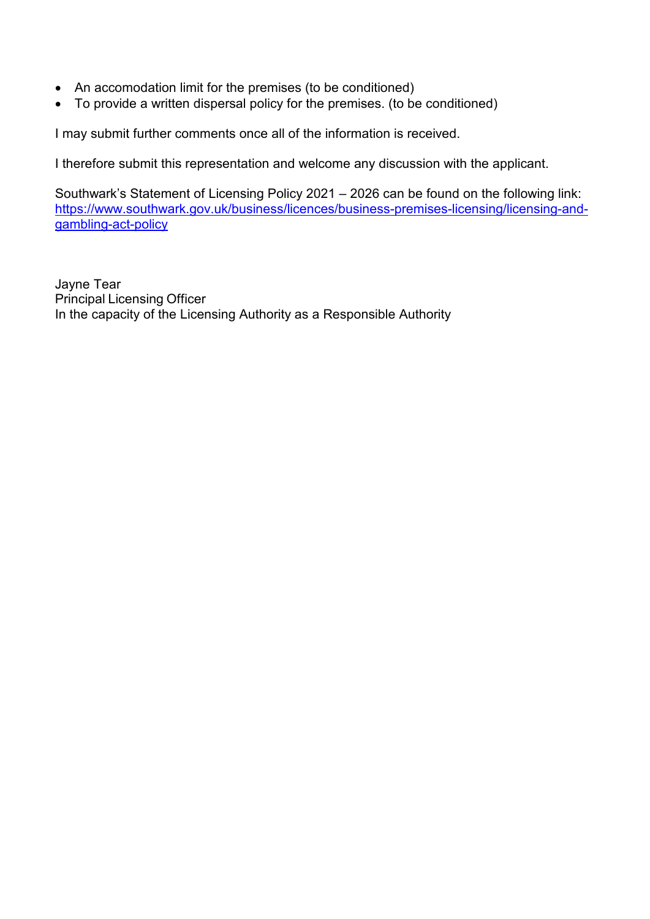- An accomodation limit for the premises (to be conditioned)
- To provide a written dispersal policy for the premises. (to be conditioned)

I may submit further comments once all of the information is received.

I therefore submit this representation and welcome any discussion with the applicant.

Southwark's Statement of Licensing Policy 2021 – 2026 can be found on the following link: [https://www.southwark.gov.uk/business/licences/business-premises-licensing/licensing-and](https://www.southwark.gov.uk/business/licences/business-premises-licensing/licensing-and-gambling-act-policy)[gambling-act-policy](https://www.southwark.gov.uk/business/licences/business-premises-licensing/licensing-and-gambling-act-policy)

Jayne Tear Principal Licensing Officer In the capacity of the Licensing Authority as a Responsible Authority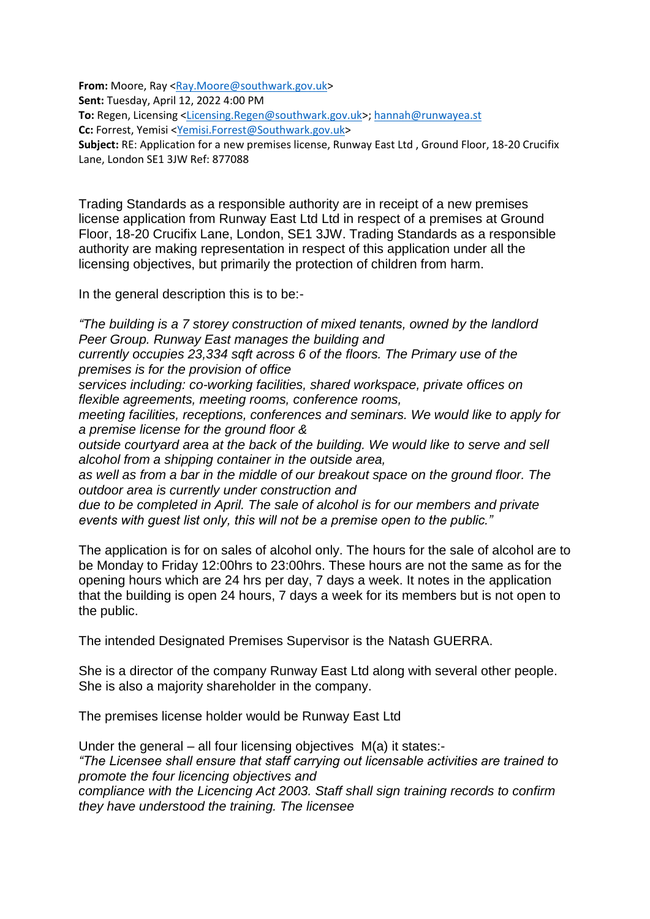**From:** Moore, Ray [<Ray.Moore@southwark.gov.uk>](mailto:Ray.Moore@southwark.gov.uk) **Sent:** Tuesday, April 12, 2022 4:00 PM **To:** Regen, Licensing [<Licensing.Regen@southwark.gov.uk>](mailto:Licensing.Regen@southwark.gov.uk)[; hannah@runwayea.st](mailto:hannah@runwayea.st) **Cc:** Forrest, Yemisi [<Yemisi.Forrest@Southwark.gov.uk>](mailto:Yemisi.Forrest@Southwark.gov.uk) **Subject:** RE: Application for a new premises license, Runway East Ltd , Ground Floor, 18-20 Crucifix Lane, London SE1 3JW Ref: 877088

Trading Standards as a responsible authority are in receipt of a new premises license application from Runway East Ltd Ltd in respect of a premises at Ground Floor, 18-20 Crucifix Lane, London, SE1 3JW. Trading Standards as a responsible authority are making representation in respect of this application under all the licensing objectives, but primarily the protection of children from harm.

In the general description this is to be:-

*"The building is a 7 storey construction of mixed tenants, owned by the landlord Peer Group. Runway East manages the building and currently occupies 23,334 sqft across 6 of the floors. The Primary use of the premises is for the provision of office services including: co-working facilities, shared workspace, private offices on flexible agreements, meeting rooms, conference rooms, meeting facilities, receptions, conferences and seminars. We would like to apply for a premise license for the ground floor & outside courtyard area at the back of the building. We would like to serve and sell alcohol from a shipping container in the outside area, as well as from a bar in the middle of our breakout space on the ground floor. The outdoor area is currently under construction and due to be completed in April. The sale of alcohol is for our members and private* 

*events with guest list only, this will not be a premise open to the public."* The application is for on sales of alcohol only. The hours for the sale of alcohol are to be Monday to Friday 12:00hrs to 23:00hrs. These hours are not the same as for the

opening hours which are 24 hrs per day, 7 days a week. It notes in the application that the building is open 24 hours, 7 days a week for its members but is not open to the public.

The intended Designated Premises Supervisor is the Natash GUERRA.

She is a director of the company Runway East Ltd along with several other people. She is also a majority shareholder in the company.

The premises license holder would be Runway East Ltd

Under the general – all four licensing objectives M(a) it states:- *"The Licensee shall ensure that staff carrying out licensable activities are trained to promote the four licencing objectives and compliance with the Licencing Act 2003. Staff shall sign training records to confirm they have understood the training. The licensee*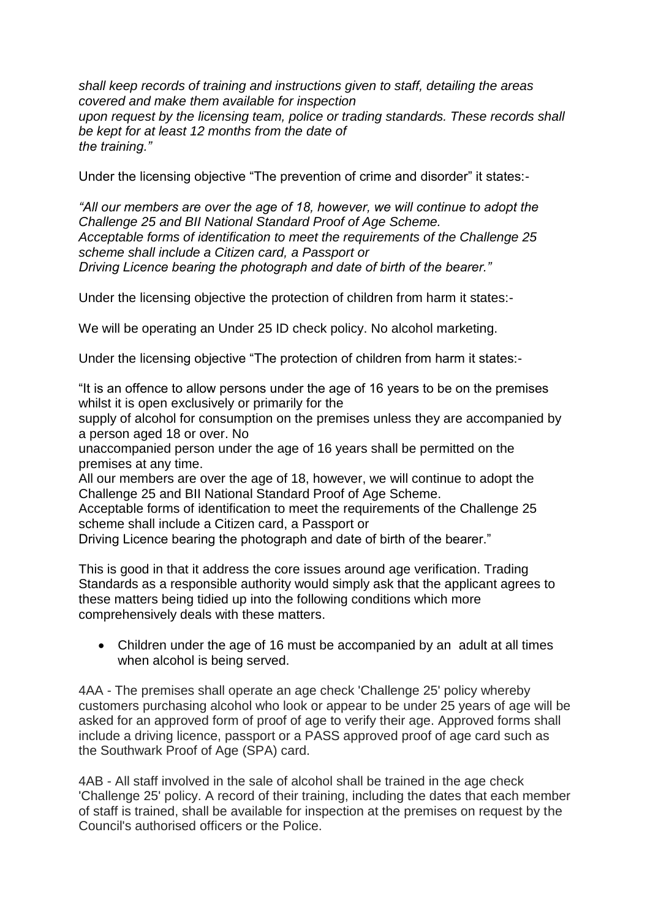*shall keep records of training and instructions given to staff, detailing the areas covered and make them available for inspection upon request by the licensing team, police or trading standards. These records shall be kept for at least 12 months from the date of the training."*

Under the licensing objective "The prevention of crime and disorder" it states:-

*"All our members are over the age of 18, however, we will continue to adopt the Challenge 25 and BII National Standard Proof of Age Scheme. Acceptable forms of identification to meet the requirements of the Challenge 25 scheme shall include a Citizen card, a Passport or Driving Licence bearing the photograph and date of birth of the bearer."*

Under the licensing objective the protection of children from harm it states:-

We will be operating an Under 25 ID check policy. No alcohol marketing.

Under the licensing objective "The protection of children from harm it states:-

"It is an offence to allow persons under the age of 16 years to be on the premises whilst it is open exclusively or primarily for the

supply of alcohol for consumption on the premises unless they are accompanied by a person aged 18 or over. No

unaccompanied person under the age of 16 years shall be permitted on the premises at any time.

All our members are over the age of 18, however, we will continue to adopt the Challenge 25 and BII National Standard Proof of Age Scheme.

Acceptable forms of identification to meet the requirements of the Challenge 25 scheme shall include a Citizen card, a Passport or

Driving Licence bearing the photograph and date of birth of the bearer."

This is good in that it address the core issues around age verification. Trading Standards as a responsible authority would simply ask that the applicant agrees to these matters being tidied up into the following conditions which more comprehensively deals with these matters.

• Children under the age of 16 must be accompanied by an adult at all times when alcohol is being served.

4AA - The premises shall operate an age check 'Challenge 25' policy whereby customers purchasing alcohol who look or appear to be under 25 years of age will be asked for an approved form of proof of age to verify their age. Approved forms shall include a driving licence, passport or a PASS approved proof of age card such as the Southwark Proof of Age (SPA) card.

4AB - All staff involved in the sale of alcohol shall be trained in the age check 'Challenge 25' policy. A record of their training, including the dates that each member of staff is trained, shall be available for inspection at the premises on request by the Council's authorised officers or the Police.